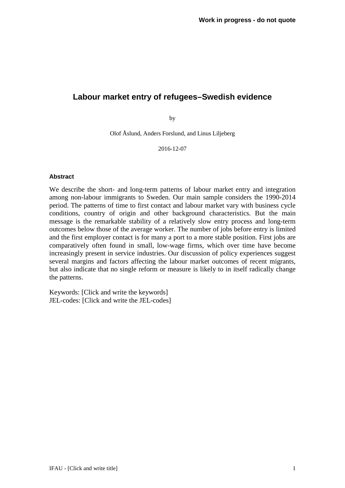# **Labour market entry of refugees–Swedish evidence**

by

Olof Åslund, Anders Forslund, and Linus Liljeberg

2016-12-07

#### **Abstract**

We describe the short- and long-term patterns of labour market entry and integration among non-labour immigrants to Sweden. Our main sample considers the 1990-2014 period. The patterns of time to first contact and labour market vary with business cycle conditions, country of origin and other background characteristics. But the main message is the remarkable stability of a relatively slow entry process and long-term outcomes below those of the average worker. The number of jobs before entry is limited and the first employer contact is for many a port to a more stable position. First jobs are comparatively often found in small, low-wage firms, which over time have become increasingly present in service industries. Our discussion of policy experiences suggest several margins and factors affecting the labour market outcomes of recent migrants, but also indicate that no single reform or measure is likely to in itself radically change the patterns.

Keywords: [Click and write the keywords] JEL-codes: [Click and write the JEL-codes]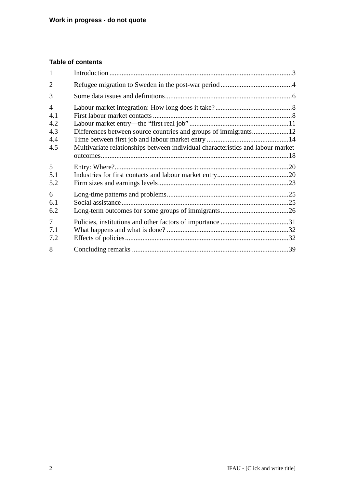# **Table of contents**

| 1                                                 |                                                                                 |  |
|---------------------------------------------------|---------------------------------------------------------------------------------|--|
| $\overline{2}$                                    |                                                                                 |  |
| 3                                                 |                                                                                 |  |
| $\overline{4}$<br>4.1<br>4.2<br>4.3<br>4.4<br>4.5 | Multivariate relationships between individual characteristics and labour market |  |
| 5<br>5.1<br>5.2                                   |                                                                                 |  |
| 6<br>6.1<br>6.2                                   |                                                                                 |  |
| $\overline{7}$<br>7.1<br>7.2                      |                                                                                 |  |
| 8                                                 |                                                                                 |  |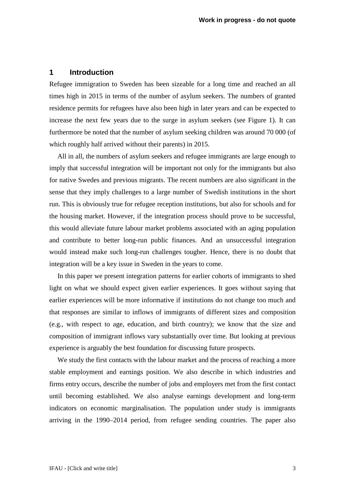### <span id="page-2-0"></span>**1 Introduction**

Refugee immigration to Sweden has been sizeable for a long time and reached an all times high in 2015 in terms of the number of asylum seekers. The numbers of granted residence permits for refugees have also been high in later years and can be expected to increase the next few years due to the surge in asylum seekers (see Figure 1). It can furthermore be noted that the number of asylum seeking children was around 70 000 (of which roughly half arrived without their parents) in 2015.

All in all, the numbers of asylum seekers and refugee immigrants are large enough to imply that successful integration will be important not only for the immigrants but also for native Swedes and previous migrants. The recent numbers are also significant in the sense that they imply challenges to a large number of Swedish institutions in the short run. This is obviously true for refugee reception institutions, but also for schools and for the housing market. However, if the integration process should prove to be successful, this would alleviate future labour market problems associated with an aging population and contribute to better long-run public finances. And an unsuccessful integration would instead make such long-run challenges tougher. Hence, there is no doubt that integration will be a key issue in Sweden in the years to come.

In this paper we present integration patterns for earlier cohorts of immigrants to shed light on what we should expect given earlier experiences. It goes without saying that earlier experiences will be more informative if institutions do not change too much and that responses are similar to inflows of immigrants of different sizes and composition (e.g., with respect to age, education, and birth country); we know that the size and composition of immigrant inflows vary substantially over time. But looking at previous experience is arguably the best foundation for discussing future prospects.

We study the first contacts with the labour market and the process of reaching a more stable employment and earnings position. We also describe in which industries and firms entry occurs, describe the number of jobs and employers met from the first contact until becoming established. We also analyse earnings development and long-term indicators on economic marginalisation. The population under study is immigrants arriving in the 1990–2014 period, from refugee sending countries. The paper also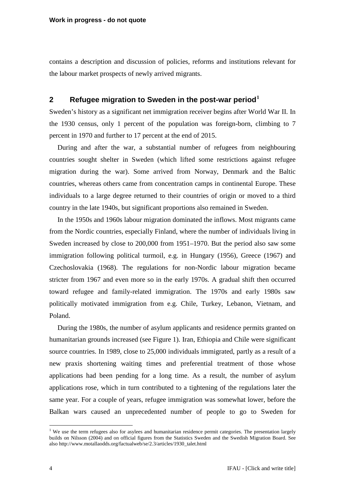contains a description and discussion of policies, reforms and institutions relevant for the labour market prospects of newly arrived migrants.

# <span id="page-3-0"></span>**2 Refugee migration to Sweden in the post-war period[1](#page-3-1)**

Sweden's history as a significant net immigration receiver begins after World War II. In the 1930 census, only 1 percent of the population was foreign-born, climbing to 7 percent in 1970 and further to 17 percent at the end of 2015.

During and after the war, a substantial number of refugees from neighbouring countries sought shelter in Sweden (which lifted some restrictions against refugee migration during the war). Some arrived from Norway, Denmark and the Baltic countries, whereas others came from concentration camps in continental Europe. These individuals to a large degree returned to their countries of origin or moved to a third country in the late 1940s, but significant proportions also remained in Sweden.

In the 1950s and 1960s labour migration dominated the inflows. Most migrants came from the Nordic countries, especially Finland, where the number of individuals living in Sweden increased by close to 200,000 from 1951–1970. But the period also saw some immigration following political turmoil, e.g. in Hungary (1956), Greece (1967) and Czechoslovakia (1968). The regulations for non-Nordic labour migration became stricter from 1967 and even more so in the early 1970s. A gradual shift then occurred toward refugee and family-related immigration. The 1970s and early 1980s saw politically motivated immigration from e.g. Chile, Turkey, Lebanon, Vietnam, and Poland.

During the 1980s, the number of asylum applicants and residence permits granted on humanitarian grounds increased (see Figure 1). Iran, Ethiopia and Chile were significant source countries. In 1989, close to 25,000 individuals immigrated, partly as a result of a new praxis shortening waiting times and preferential treatment of those whose applications had been pending for a long time. As a result, the number of asylum applications rose, which in turn contributed to a tightening of the regulations later the same year. For a couple of years, refugee immigration was somewhat lower, before the Balkan wars caused an unprecedented number of people to go to Sweden for

<span id="page-3-1"></span> $1$  We use the term refugees also for asylees and humanitarian residence permit categories. The presentation largely builds on Nilsson (2004) and on official figures from the Statistics Sweden and the Swedish Migration Board. See also http://www.motallaodds.org/factualweb/se/2.3/articles/1930\_talet.html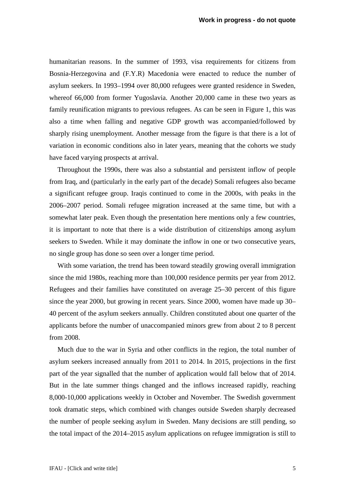humanitarian reasons. In the summer of 1993, visa requirements for citizens from Bosnia-Herzegovina and (F.Y.R) Macedonia were enacted to reduce the number of asylum seekers. In 1993–1994 over 80,000 refugees were granted residence in Sweden, whereof 66,000 from former Yugoslavia. Another 20,000 came in these two years as family reunification migrants to previous refugees. As can be seen in Figure 1, this was also a time when falling and negative GDP growth was accompanied/followed by sharply rising unemployment. Another message from the figure is that there is a lot of variation in economic conditions also in later years, meaning that the cohorts we study have faced varying prospects at arrival.

Throughout the 1990s, there was also a substantial and persistent inflow of people from Iraq, and (particularly in the early part of the decade) Somali refugees also became a significant refugee group. Iraqis continued to come in the 2000s, with peaks in the 2006–2007 period. Somali refugee migration increased at the same time, but with a somewhat later peak. Even though the presentation here mentions only a few countries, it is important to note that there is a wide distribution of citizenships among asylum seekers to Sweden. While it may dominate the inflow in one or two consecutive years, no single group has done so seen over a longer time period.

With some variation, the trend has been toward steadily growing overall immigration since the mid 1980s, reaching more than 100,000 residence permits per year from 2012. Refugees and their families have constituted on average 25–30 percent of this figure since the year 2000, but growing in recent years. Since 2000, women have made up 30– 40 percent of the asylum seekers annually. Children constituted about one quarter of the applicants before the number of unaccompanied minors grew from about 2 to 8 percent from 2008.

Much due to the war in Syria and other conflicts in the region, the total number of asylum seekers increased annually from 2011 to 2014. In 2015, projections in the first part of the year signalled that the number of application would fall below that of 2014. But in the late summer things changed and the inflows increased rapidly, reaching 8,000-10,000 applications weekly in October and November. The Swedish government took dramatic steps, which combined with changes outside Sweden sharply decreased the number of people seeking asylum in Sweden. Many decisions are still pending, so the total impact of the 2014–2015 asylum applications on refugee immigration is still to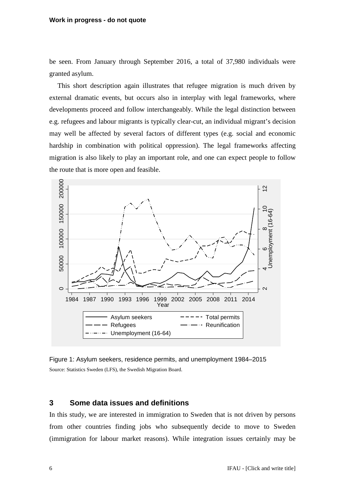#### **Work in progress - do not quote**

be seen. From January through September 2016, a total of 37,980 individuals were granted asylum.

This short description again illustrates that refugee migration is much driven by external dramatic events, but occurs also in interplay with legal frameworks, where developments proceed and follow interchangeably. While the legal distinction between e.g. refugees and labour migrants is typically clear-cut, an individual migrant's decision may well be affected by several factors of different types (e.g. social and economic hardship in combination with political oppression). The legal frameworks affecting migration is also likely to play an important role, and one can expect people to follow the route that is more open and feasible.



<span id="page-5-1"></span>

## <span id="page-5-0"></span>**3 Some data issues and definitions**

In this study, we are interested in immigration to Sweden that is not driven by persons from other countries finding jobs who subsequently decide to move to Sweden (immigration for labour market reasons). While integration issues certainly may be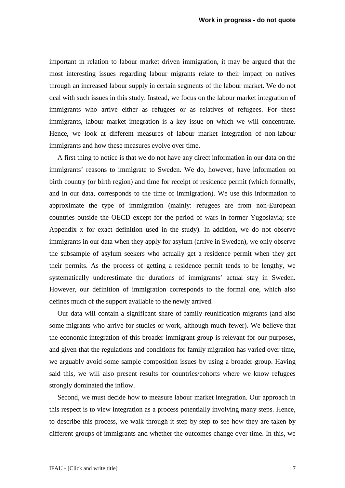important in relation to labour market driven immigration, it may be argued that the most interesting issues regarding labour migrants relate to their impact on natives through an increased labour supply in certain segments of the labour market. We do not deal with such issues in this study. Instead, we focus on the labour market integration of immigrants who arrive either as refugees or as relatives of refugees. For these immigrants, labour market integration is a key issue on which we will concentrate. Hence, we look at different measures of labour market integration of non-labour immigrants and how these measures evolve over time.

A first thing to notice is that we do not have any direct information in our data on the immigrants' reasons to immigrate to Sweden. We do, however, have information on birth country (or birth region) and time for receipt of residence permit (which formally, and in our data, corresponds to the time of immigration). We use this information to approximate the type of immigration (mainly: refugees are from non-European countries outside the OECD except for the period of wars in former Yugoslavia; see Appendix x for exact definition used in the study). In addition, we do not observe immigrants in our data when they apply for asylum (arrive in Sweden), we only observe the subsample of asylum seekers who actually get a residence permit when they get their permits. As the process of getting a residence permit tends to be lengthy, we systematically underestimate the durations of immigrants' actual stay in Sweden. However, our definition of immigration corresponds to the formal one, which also defines much of the support available to the newly arrived.

Our data will contain a significant share of family reunification migrants (and also some migrants who arrive for studies or work, although much fewer). We believe that the economic integration of this broader immigrant group is relevant for our purposes, and given that the regulations and conditions for family migration has varied over time, we arguably avoid some sample composition issues by using a broader group. Having said this, we will also present results for countries/cohorts where we know refugees strongly dominated the inflow.

Second, we must decide how to measure labour market integration. Our approach in this respect is to view integration as a process potentially involving many steps. Hence, to describe this process, we walk through it step by step to see how they are taken by different groups of immigrants and whether the outcomes change over time. In this, we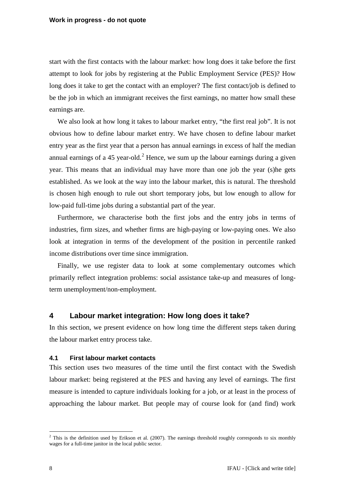start with the first contacts with the labour market: how long does it take before the first attempt to look for jobs by registering at the Public Employment Service (PES)? How long does it take to get the contact with an employer? The first contact/job is defined to be the job in which an immigrant receives the first earnings, no matter how small these earnings are.

We also look at how long it takes to labour market entry, "the first real job". It is not obvious how to define labour market entry. We have chosen to define labour market entry year as the first year that a person has annual earnings in excess of half the median annual earnings of a 45 year-old.<sup>[2](#page-7-2)</sup> Hence, we sum up the labour earnings during a given year. This means that an individual may have more than one job the year (s)he gets established. As we look at the way into the labour market, this is natural. The threshold is chosen high enough to rule out short temporary jobs, but low enough to allow for low-paid full-time jobs during a substantial part of the year.

Furthermore, we characterise both the first jobs and the entry jobs in terms of industries, firm sizes, and whether firms are high-paying or low-paying ones. We also look at integration in terms of the development of the position in percentile ranked income distributions over time since immigration.

Finally, we use register data to look at some complementary outcomes which primarily reflect integration problems: social assistance take-up and measures of longterm unemployment/non-employment.

## <span id="page-7-0"></span>**4 Labour market integration: How long does it take?**

In this section, we present evidence on how long time the different steps taken during the labour market entry process take.

### <span id="page-7-1"></span>**4.1 First labour market contacts**

This section uses two measures of the time until the first contact with the Swedish labour market: being registered at the PES and having any level of earnings. The first measure is intended to capture individuals looking for a job, or at least in the process of approaching the labour market. But people may of course look for (and find) work

<span id="page-7-2"></span> $2$  This is the definition used by Erikson et al. (2007). The earnings threshold roughly corresponds to six monthly wages for a full-time janitor in the local public sector.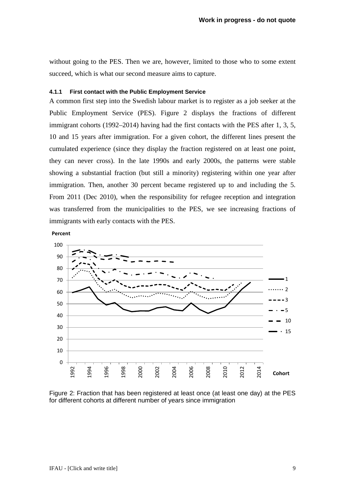without going to the PES. Then we are, however, limited to those who to some extent succeed, which is what our second measure aims to capture.

#### **4.1.1 First contact with the Public Employment Service**

A common first step into the Swedish labour market is to register as a job seeker at the Public Employment Service (PES). [Figure 2](#page-8-0) displays the fractions of different immigrant cohorts (1992–2014) having had the first contacts with the PES after 1, 3, 5, 10 and 15 years after immigration. For a given cohort, the different lines present the cumulated experience (since they display the fraction registered on at least one point, they can never cross). In the late 1990s and early 2000s, the patterns were stable showing a substantial fraction (but still a minority) registering within one year after immigration. Then, another 30 percent became registered up to and including the 5. From 2011 (Dec 2010), when the responsibility for refugee reception and integration was transferred from the municipalities to the PES, we see increasing fractions of immigrants with early contacts with the PES.

**Percent**



<span id="page-8-0"></span>Figure 2: Fraction that has been registered at least once (at least one day) at the PES for different cohorts at different number of years since immigration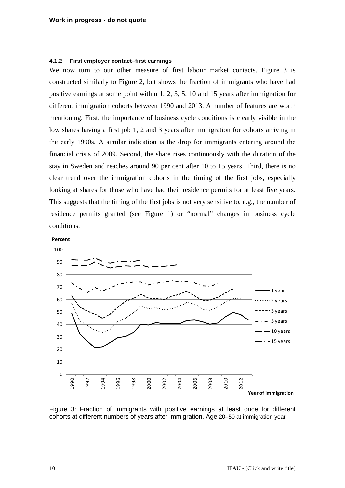#### **4.1.2 First employer contact–first earnings**

We now turn to our other measure of first labour market contacts. [Figure 3](#page-9-0) is constructed similarly to Figure 2, but shows the fraction of immigrants who have had positive earnings at some point within 1, 2, 3, 5, 10 and 15 years after immigration for different immigration cohorts between 1990 and 2013. A number of features are worth mentioning. First, the importance of business cycle conditions is clearly visible in the low shares having a first job 1, 2 and 3 years after immigration for cohorts arriving in the early 1990s. A similar indication is the drop for immigrants entering around the financial crisis of 2009. Second, the share rises continuously with the duration of the stay in Sweden and reaches around 90 per cent after 10 to 15 years. Third, there is no clear trend over the immigration cohorts in the timing of the first jobs, especially looking at shares for those who have had their residence permits for at least five years. This suggests that the timing of the first jobs is not very sensitive to, e.g., the number of residence permits granted (see Figure 1) or "normal" changes in business cycle conditions.





<span id="page-9-0"></span>Figure 3: Fraction of immigrants with positive earnings at least once for different cohorts at different numbers of years after immigration. Age 20–50 at immigration year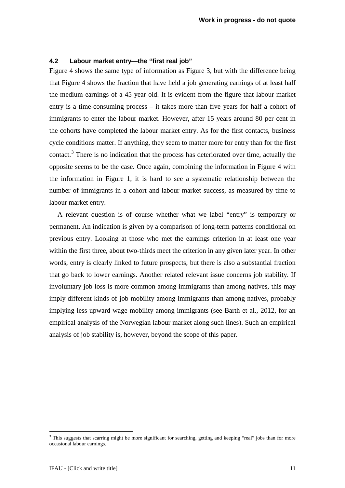### <span id="page-10-0"></span>**4.2 Labour market entry—the "first real job"**

[Figure 4](#page-11-1) shows the same type of information as [Figure 3,](#page-9-0) but with the difference being that [Figure 4](#page-11-1) shows the fraction that have held a job generating earnings of at least half the medium earnings of a 45-year-old. It is evident from the figure that labour market entry is a time-consuming process – it takes more than five years for half a cohort of immigrants to enter the labour market. However, after 15 years around 80 per cent in the cohorts have completed the labour market entry. As for the first contacts, business cycle conditions matter. If anything, they seem to matter more for entry than for the first contact.<sup>[3](#page-10-1)</sup> There is no indication that the process has deteriorated over time, actually the opposite seems to be the case. Once again, combining the information in [Figure 4](#page-11-1) with the information in [Figure 1,](#page-5-1) it is hard to see a systematic relationship between the number of immigrants in a cohort and labour market success, as measured by time to labour market entry.

A relevant question is of course whether what we label "entry" is temporary or permanent. An indication is given by a comparison of long-term patterns conditional on previous entry. Looking at those who met the earnings criterion in at least one year within the first three, about two-thirds meet the criterion in any given later year. In other words, entry is clearly linked to future prospects, but there is also a substantial fraction that go back to lower earnings. Another related relevant issue concerns job stability. If involuntary job loss is more common among immigrants than among natives, this may imply different kinds of job mobility among immigrants than among natives, probably implying less upward wage mobility among immigrants (see Barth et al., 2012, for an empirical analysis of the Norwegian labour market along such lines). Such an empirical analysis of job stability is, however, beyond the scope of this paper.

<span id="page-10-1"></span><sup>&</sup>lt;sup>3</sup> This suggests that scarring might be more significant for searching, getting and keeping "real" jobs than for more occasional labour earnings.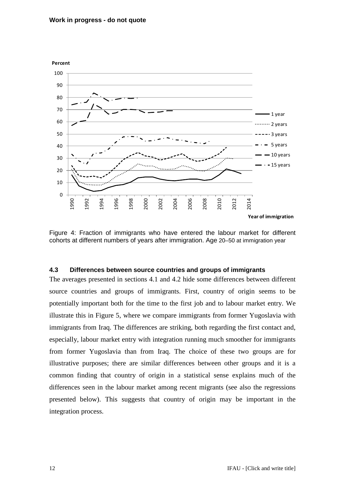

<span id="page-11-1"></span>Figure 4: Fraction of immigrants who have entered the labour market for different cohorts at different numbers of years after immigration. Age 20–50 at immigration year

## <span id="page-11-0"></span>**4.3 Differences between source countries and groups of immigrants**

The averages presented in sections 4.1 and 4.2 hide some differences between different source countries and groups of immigrants. First, country of origin seems to be potentially important both for the time to the first job and to labour market entry. We illustrate this in [Figure 5,](#page-12-0) where we compare immigrants from former Yugoslavia with immigrants from Iraq. The differences are striking, both regarding the first contact and, especially, labour market entry with integration running much smoother for immigrants from former Yugoslavia than from Iraq. The choice of these two groups are for illustrative purposes; there are similar differences between other groups and it is a common finding that country of origin in a statistical sense explains much of the differences seen in the labour market among recent migrants (see also the regressions presented below). This suggests that country of origin may be important in the integration process.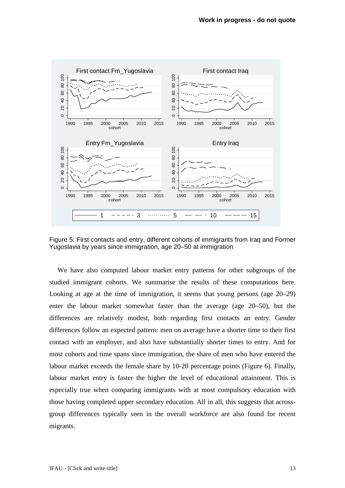

<span id="page-12-0"></span>Figure 5: First contacts and entry, different cohorts of immigrants from Iraq and Former Yugoslavia by years since immigration, age 20–50 at immigration

We have also computed labour market entry patterns for other subgroups of the studied immigrant cohorts. We summarise the results of these computations here. Looking at age at the time of immigration, it seems that young persons (age 20–29) enter the labour market somewhat faster than the average (age 20–50), but the differences are relatively modest, both regarding first contacts an entry. Gender differences follow an expected pattern: men on average have a shorter time to their first contact with an employer, and also have substantially shorter times to entry. And for most cohorts and time spans since immigration, the share of men who have entered the labour market exceeds the female share by 10-20 percentage points [\(Figure 6\)](#page-13-1). Finally, labour market entry is faster the higher the level of educational attainment. This is especially true when comparing immigrants with at most compulsory education with those having completed upper secondary education. All in all, this suggests that acrossgroup differences typically seen in the overall workforce are also found for recent migrants.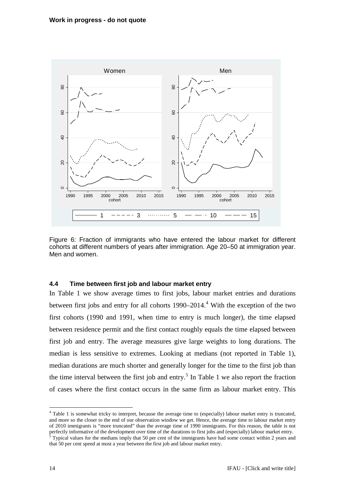

<span id="page-13-1"></span>Figure 6: Fraction of immigrants who have entered the labour market for different cohorts at different numbers of years after immigration. Age 20–50 at immigration year. Men and women.

### <span id="page-13-0"></span>**4.4 Time between first job and labour market entry**

In [Table 1](#page-14-0) we show average times to first jobs, labour market entries and durations between first jobs and entry for all cohorts  $1990-2014$  $1990-2014$ .<sup>4</sup> With the exception of the two first cohorts (1990 and 1991, when time to entry is much longer), the time elapsed between residence permit and the first contact roughly equals the time elapsed between first job and entry. The average measures give large weights to long durations. The median is less sensitive to extremes. Looking at medians (not reported in [Table 1\)](#page-14-0), median durations are much shorter and generally longer for the time to the first job than the time interval between the first job and entry.<sup>[5](#page-13-3)</sup> In [Table 1](#page-14-0) we also report the fraction of cases where the first contact occurs in the same firm as labour market entry. This

<span id="page-13-2"></span><sup>&</sup>lt;sup>4</sup> [Table 1](#page-14-0) is somewhat tricky to interpret, because the average time to (especially) labour market entry is truncated, and more so the closer to the end of our observation window we get. Hence, the average time to labour market entry of 2010 immigrants is "more truncated" than the average time of 1990 immigrants. For this reason, the table is not perfectly informative of the development over time of the durations to first jobs and (especially) labour market entry.<br><sup>5</sup> Typical values for the medians imply that 50 per cent of the immigrants have had some contact with

<span id="page-13-3"></span>that 50 per cent spend at most a year between the first job and labour market entry.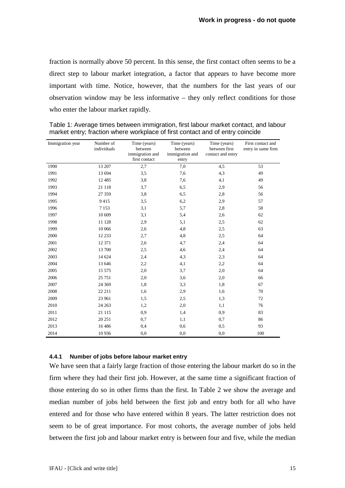fraction is normally above 50 percent. In this sense, the first contact often seems to be a direct step to labour market integration, a factor that appears to have become more important with time. Notice, however, that the numbers for the last years of our observation window may be less informative – they only reflect conditions for those who enter the labour market rapidly.

| Immigration year | Number of<br>individuals | Time (years)<br>between<br>immigration and<br>first contact | Time (years)<br>between<br>immigration and<br>entry | Time (years)<br>between first<br>contact and entry | First contact and<br>entry in same firm |
|------------------|--------------------------|-------------------------------------------------------------|-----------------------------------------------------|----------------------------------------------------|-----------------------------------------|
| 1990             | 13 207                   | $2,\!7$                                                     | 7,0                                                 | 4,5                                                | 53                                      |
| 1991             | 13 694                   | 3,5                                                         | 7,6                                                 | 4,3                                                | 49                                      |
| 1992             | 12 4 8 5                 | 3,8                                                         | 7,6                                                 | 4,1                                                | 49                                      |
| 1993             | 21 118                   | 3,7                                                         | 6,5                                                 | 2,9                                                | 56                                      |
| 1994             | 27 359                   | 3,8                                                         | 6,5                                                 | 2,8                                                | 56                                      |
| 1995             | 9415                     | 3,5                                                         | 6,2                                                 | 2,9                                                | 57                                      |
| 1996             | 7 1 5 3                  | 3,1                                                         | 5,7                                                 | 2,8                                                | 58                                      |
| 1997             | 10 609                   | 3,1                                                         | 5,4                                                 | 2,6                                                | 62                                      |
| 1998             | 11 128                   | 2,9                                                         | 5,1                                                 | 2,5                                                | 62                                      |
| 1999             | 10 066                   | 2,6                                                         | 4,8                                                 | 2,5                                                | 63                                      |
| 2000             | 12 233                   | 2,7                                                         | 4,8                                                 | 2,5                                                | 64                                      |
| 2001             | 12 371                   | 2,6                                                         | 4,7                                                 | 2,4                                                | 64                                      |
| 2002             | 13 700                   | 2,5                                                         | 4,6                                                 | 2,4                                                | 64                                      |
| 2003             | 14 624                   | 2,4                                                         | 4,3                                                 | 2,3                                                | 64                                      |
| 2004             | 13 646                   | 2,2                                                         | 4,1                                                 | 2,2                                                | 64                                      |
| 2005             | 15 575                   | 2,0                                                         | 3,7                                                 | 2,0                                                | 64                                      |
| 2006             | 25 751                   | 2,0                                                         | 3,6                                                 | 2,0                                                | 66                                      |
| 2007             | 24 3 69                  | 1,8                                                         | 3,3                                                 | 1,8                                                | 67                                      |
| 2008             | 22 211                   | 1,6                                                         | 2,9                                                 | 1,6                                                | 70                                      |
| 2009             | 23 961                   | 1,5                                                         | 2,5                                                 | 1,3                                                | 72                                      |
| 2010             | 24 26 3                  | 1,2                                                         | 2,0                                                 | 1,1                                                | 76                                      |
| 2011             | 21 115                   | 0,9                                                         | 1,4                                                 | 0,9                                                | 83                                      |
| 2012             | 20 25 1                  | 0,7                                                         | 1,1                                                 | 0,7                                                | 86                                      |
| 2013             | 16 4 8 6                 | 0,4                                                         | 0,6                                                 | 0,5                                                | 93                                      |
| 2014             | 10 9 36                  | 0,0                                                         | 0,0                                                 | 0,0                                                | 100                                     |

<span id="page-14-0"></span>Table 1: Average times between immigration, first labour market contact, and labour market entry; fraction where workplace of first contact and of entry coincide

#### **4.4.1 Number of jobs before labour market entry**

We have seen that a fairly large fraction of those entering the labour market do so in the firm where they had their first job. However, at the same time a significant fraction of those entering do so in other firms than the first. In [Table 2](#page-15-0) we show the average and median number of jobs held between the first job and entry both for all who have entered and for those who have entered within 8 years. The latter restriction does not seem to be of great importance. For most cohorts, the average number of jobs held between the first job and labour market entry is between four and five, while the median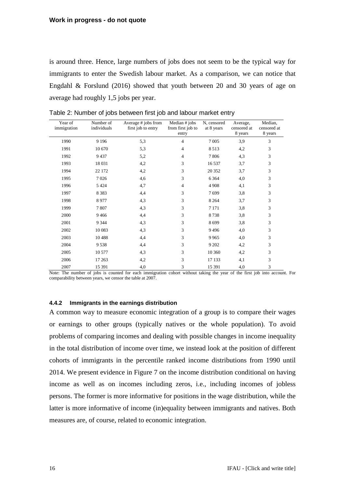is around three. Hence, large numbers of jobs does not seem to be the typical way for immigrants to enter the Swedish labour market. As a comparison, we can notice that Engdahl & Forslund (2016) showed that youth between 20 and 30 years of age on average had roughly 1,5 jobs per year.

| Year of<br>immigration | Number of<br>individuals | Average # jobs from<br>first job to entry | Median # jobs<br>from first job to<br>entry | N, censored<br>at 8 years | Average,<br>censored at<br>8 years | Median,<br>censored at<br>8 years |
|------------------------|--------------------------|-------------------------------------------|---------------------------------------------|---------------------------|------------------------------------|-----------------------------------|
| 1990                   | 9 1 9 6                  | 5,3                                       | 4                                           | 7 0 0 5                   | 3,9                                | 3                                 |
| 1991                   | 10 670                   | 5,3                                       | 4                                           | 8513                      | 4,2                                | 3                                 |
| 1992                   | 9437                     | 5,2                                       | 4                                           | 7806                      | 4,3                                | 3                                 |
| 1993                   | 18 031                   | 4,2                                       | 3                                           | 16 537                    | 3,7                                | 3                                 |
| 1994                   | 22 172                   | 4,2                                       | 3                                           | 20 352                    | 3,7                                | 3                                 |
| 1995                   | 7026                     | 4,6                                       | 3                                           | 6 3 6 4                   | 4,0                                | 3                                 |
| 1996                   | 5 4 2 4                  | 4,7                                       | 4                                           | 4 9 0 8                   | 4,1                                | 3                                 |
| 1997                   | 8 3 8 3                  | 4,4                                       | 3                                           | 7699                      | 3,8                                | 3                                 |
| 1998                   | 8977                     | 4,3                                       | 3                                           | 8 2 6 4                   | 3,7                                | 3                                 |
| 1999                   | 7807                     | 4,3                                       | 3                                           | 7 1 7 1                   | 3,8                                | 3                                 |
| 2000                   | 9466                     | 4,4                                       | 3                                           | 8738                      | 3,8                                | 3                                 |
| 2001                   | 9 3 4 4                  | 4,3                                       | 3                                           | 8699                      | 3,8                                | 3                                 |
| 2002                   | 10 083                   | 4,3                                       | 3                                           | 9496                      | 4,0                                | 3                                 |
| 2003                   | 10 4 88                  | 4,4                                       | 3                                           | 9965                      | 4,0                                | 3                                 |
| 2004                   | 9538                     | 4,4                                       | 3                                           | 9 2 0 2                   | 4,2                                | 3                                 |
| 2005                   | 10 577                   | 4,3                                       | 3                                           | 10 360                    | 4,2                                | 3                                 |
| 2006                   | 17 263                   | 4,2                                       | 3                                           | 17 133                    | 4,1                                | 3                                 |
| 2007                   | 15 391                   | 4,0                                       | 3                                           | 15 391                    | 4,0                                | 3                                 |

<span id="page-15-0"></span>Table 2: Number of jobs between first job and labour market entry

Note: The number of jobs is counted for each immigration cohort without taking the year of the first job into account. For comparability between years, we censor the table at 2007.

#### **4.4.2 Immigrants in the earnings distribution**

A common way to measure economic integration of a group is to compare their wages or earnings to other groups (typically natives or the whole population). To avoid problems of comparing incomes and dealing with possible changes in income inequality in the total distribution of income over time, we instead look at the position of different cohorts of immigrants in the percentile ranked income distributions from 1990 until 2014. We present evidence in [Figure 7](#page-17-1) on the income distribution conditional on having income as well as on incomes including zeros, i.e., including incomes of jobless persons. The former is more informative for positions in the wage distribution, while the latter is more informative of income (in)equality between immigrants and natives. Both measures are, of course, related to economic integration.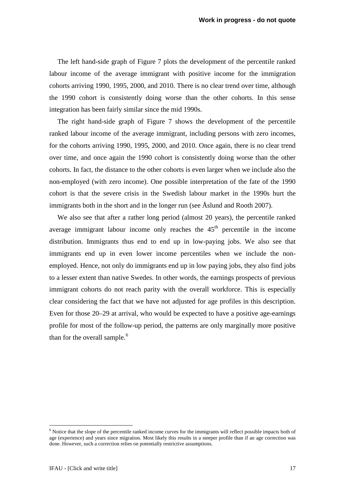The left hand-side graph of [Figure 7](#page-17-1) plots the development of the percentile ranked labour income of the average immigrant with positive income for the immigration cohorts arriving 1990, 1995, 2000, and 2010. There is no clear trend over time, although the 1990 cohort is consistently doing worse than the other cohorts. In this sense integration has been fairly similar since the mid 1990s.

The right hand-side graph of Figure 7 shows the development of the percentile ranked labour income of the average immigrant, including persons with zero incomes, for the cohorts arriving 1990, 1995, 2000, and 2010. Once again, there is no clear trend over time, and once again the 1990 cohort is consistently doing worse than the other cohorts. In fact, the distance to the other cohorts is even larger when we include also the non-employed (with zero income). One possible interpretation of the fate of the 1990 cohort is that the severe crisis in the Swedish labour market in the 1990s hurt the immigrants both in the short and in the longer run (see Åslund and Rooth 2007).

We also see that after a rather long period (almost 20 years), the percentile ranked average immigrant labour income only reaches the  $45<sup>th</sup>$  percentile in the income distribution. Immigrants thus end to end up in low-paying jobs. We also see that immigrants end up in even lower income percentiles when we include the nonemployed. Hence, not only do immigrants end up in low paying jobs, they also find jobs to a lesser extent than native Swedes. In other words, the earnings prospects of previous immigrant cohorts do not reach parity with the overall workforce. This is especially clear considering the fact that we have not adjusted for age profiles in this description. Even for those 20–29 at arrival, who would be expected to have a positive age-earnings profile for most of the follow-up period, the patterns are only marginally more positive than for the overall sample. $<sup>6</sup>$  $<sup>6</sup>$  $<sup>6</sup>$ </sup>

<span id="page-16-1"></span><span id="page-16-0"></span> $6$  Notice that the slope of the percentile ranked income curves for the immigrants will reflect possible impacts both of age (experience) and years since migration. Most likely this results in a steeper profile than if an age correction was done. However, such a correction relies on potentially restrictive assumptions.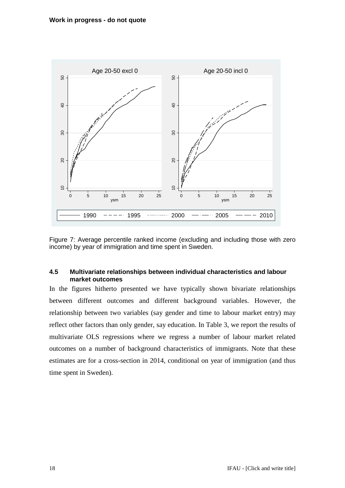

<span id="page-17-1"></span>Figure 7: Average percentile ranked income (excluding and including those with zero income) by year of immigration and time spent in Sweden.

## <span id="page-17-0"></span>**4.5 Multivariate relationships between individual characteristics and labour market outcomes**

In the figures hitherto presented we have typically shown bivariate relationships between different outcomes and different background variables. However, the relationship between two variables (say gender and time to labour market entry) may reflect other factors than only gender, say education. In [Table 3,](#page-18-0) we report the results of multivariate OLS regressions where we regress a number of labour market related outcomes on a number of background characteristics of immigrants. Note that these estimates are for a cross-section in 2014, conditional on year of immigration (and thus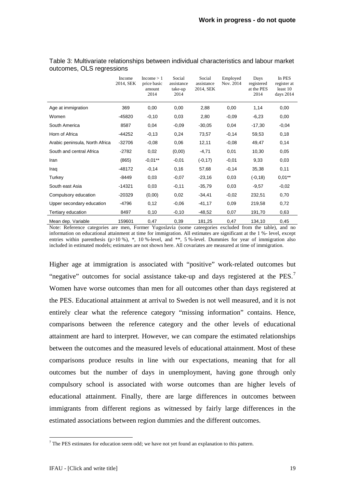|                                | Income<br>2014, SEK | Income > 1<br>price basic<br>amount<br>2014 | Social<br>assistance<br>take-up<br>2014 | Social<br>assistance<br>2014, SEK | Employed<br>Nov. 2014 | Days<br>registered<br>at the PES<br>2014 | In PES<br>register at<br>least 10<br>days 2014 |
|--------------------------------|---------------------|---------------------------------------------|-----------------------------------------|-----------------------------------|-----------------------|------------------------------------------|------------------------------------------------|
| Age at immigration             | 369                 | 0,00                                        | 0,00                                    | 2,88                              | 0,00                  | 1,14                                     | 0,00                                           |
| Women                          | $-45820$            | $-0,10$                                     | 0,03                                    | 2,80                              | $-0,09$               | $-6,23$                                  | 0,00                                           |
| South America                  | 8587                | 0,04                                        | $-0,09$                                 | $-30,05$                          | 0,04                  | $-17,30$                                 | $-0,04$                                        |
| Horn of Africa                 | -44252              | $-0,13$                                     | 0,24                                    | 73,57                             | $-0,14$               | 59,53                                    | 0,18                                           |
| Arabic peninsula, North Africa | $-32706$            | $-0,08$                                     | 0,06                                    | 12,11                             | $-0,08$               | 49,47                                    | 0,14                                           |
| South and central Africa       | $-2782$             | 0,02                                        | (0,00)                                  | $-4,71$                           | 0,01                  | 10,30                                    | 0,05                                           |
| Iran                           | (865)               | $-0.01**$                                   | $-0,01$                                 | $(-0, 17)$                        | $-0,01$               | 9,33                                     | 0,03                                           |
| Iraq                           | $-48172$            | $-0,14$                                     | 0,16                                    | 57,68                             | $-0,14$               | 35,38                                    | 0,11                                           |
| Turkey                         | $-8449$             | 0,03                                        | $-0,07$                                 | $-23,16$                          | 0,03                  | $(-0, 18)$                               | $0,01***$                                      |
| South east Asia                | $-14321$            | 0,03                                        | $-0,11$                                 | $-35,79$                          | 0,03                  | $-9,57$                                  | $-0,02$                                        |
| Compulsory education           | $-20329$            | (0,00)                                      | 0,02                                    | $-34,41$                          | $-0,02$               | 232,51                                   | 0,70                                           |
| Upper secondary education      | -4796               | 0,12                                        | $-0.06$                                 | $-41,17$                          | 0,09                  | 219,58                                   | 0,72                                           |
| Tertiary education             | 8497                | 0,10                                        | $-0,10$                                 | $-48,52$                          | 0,07                  | 191,70                                   | 0,63                                           |
| Mean dep. Variable             | 159601              | 0,47                                        | 0,39                                    | 181,25                            | 0,47                  | 134,10                                   | 0,45                                           |

#### <span id="page-18-0"></span>Table 3: Multivariate relationships between individual characteristics and labour market outcomes, OLS regressions

Note: Reference categories are men, Former Yugoslavia (some cateegories excluded from the table), and no information on educational attainment at time for immigration. All estimates are significant at the 1 %- level, except entries within parenthesis (p>10 %),  $*$ , 10 %-level, and  $**$ , 5 %-level. Dummies for year of immigration also included in estimated models; estimates are not shown here. All covariates are measured at time of immigration.

Higher age at immigration is associated with "positive" work-related outcomes but "negative" outcomes for social assistance take-up and days registered at the PES.<sup>[7](#page-18-1)</sup> Women have worse outcomes than men for all outcomes other than days registered at the PES. Educational attainment at arrival to Sweden is not well measured, and it is not entirely clear what the reference category "missing information" contains. Hence, comparisons between the reference category and the other levels of educational attainment are hard to interpret. However, we can compare the estimated relationships between the outcomes and the measured levels of educational attainment. Most of these comparisons produce results in line with our expectations, meaning that for all outcomes but the number of days in unemployment, having gone through only compulsory school is associated with worse outcomes than are higher levels of educational attainment. Finally, there are large differences in outcomes between immigrants from different regions as witnessed by fairly large differences in the estimated associations between region dummies and the different outcomes.

<span id="page-18-1"></span> $<sup>7</sup>$  The PES estimates for education seem odd; we have not yet found an explanation to this pattern.</sup>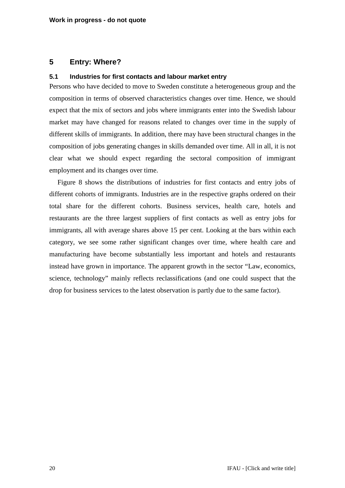## <span id="page-19-0"></span>**5 Entry: Where?**

### <span id="page-19-1"></span>**5.1 Industries for first contacts and labour market entry**

Persons who have decided to move to Sweden constitute a heterogeneous group and the composition in terms of observed characteristics changes over time. Hence, we should expect that the mix of sectors and jobs where immigrants enter into the Swedish labour market may have changed for reasons related to changes over time in the supply of different skills of immigrants. In addition, there may have been structural changes in the composition of jobs generating changes in skills demanded over time. All in all, it is not clear what we should expect regarding the sectoral composition of immigrant employment and its changes over time.

[Figure 8](#page-20-0) shows the distributions of industries for first contacts and entry jobs of different cohorts of immigrants. Industries are in the respective graphs ordered on their total share for the different cohorts. Business services, health care, hotels and restaurants are the three largest suppliers of first contacts as well as entry jobs for immigrants, all with average shares above 15 per cent. Looking at the bars within each category, we see some rather significant changes over time, where health care and manufacturing have become substantially less important and hotels and restaurants instead have grown in importance. The apparent growth in the sector "Law, economics, science, technology" mainly reflects reclassifications (and one could suspect that the drop for business services to the latest observation is partly due to the same factor).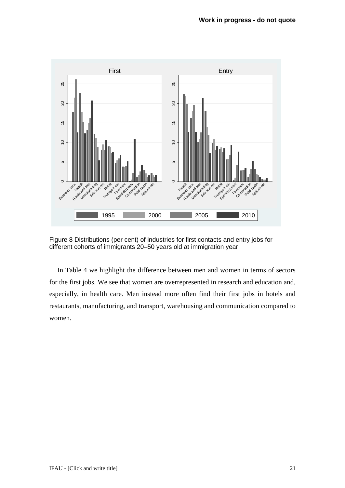

<span id="page-20-0"></span>Figure 8 Distributions (per cent) of industries for first contacts and entry jobs for different cohorts of immigrants 20–50 years old at immigration year.

In [Table 4](#page-21-0) we highlight the difference between men and women in terms of sectors for the first jobs. We see that women are overrepresented in research and education and, especially, in health care. Men instead more often find their first jobs in hotels and restaurants, manufacturing, and transport, warehousing and communication compared to women.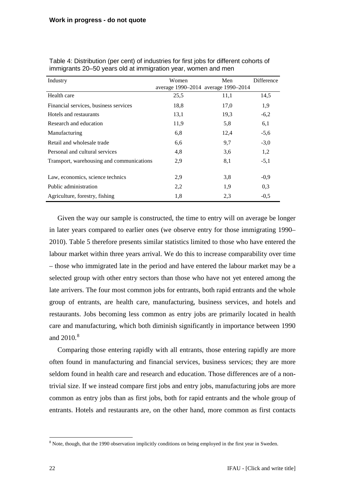| Industry                                  | Women                               | Men  | Difference |
|-------------------------------------------|-------------------------------------|------|------------|
|                                           | average 1990-2014 average 1990-2014 |      |            |
| Health care                               | 25,5                                | 11,1 | 14,5       |
| Financial services, business services     | 18,8                                | 17,0 | 1,9        |
| Hotels and restaurants                    | 13,1                                | 19,3 | $-6,2$     |
| Research and education                    | 11,9                                | 5,8  | 6,1        |
| Manufacturing                             | 6,8                                 | 12,4 | $-5,6$     |
| Retail and wholesale trade                | 6,6                                 | 9,7  | $-3,0$     |
| Personal and cultural services            | 4,8                                 | 3,6  | 1,2        |
| Transport, warehousing and communications | 2,9                                 | 8,1  | $-5,1$     |
|                                           |                                     |      |            |
| Law, economics, science technics          | 2,9                                 | 3,8  | $-0,9$     |
| Public administration                     | 2,2                                 | 1,9  | 0,3        |
| Agriculture, forestry, fishing            | 1,8                                 | 2,3  | $-0,5$     |

<span id="page-21-0"></span>Table 4: Distribution (per cent) of industries for first jobs for different cohorts of immigrants 20–50 years old at immigration year, women and men

Given the way our sample is constructed, the time to entry will on average be longer in later years compared to earlier ones (we observe entry for those immigrating 1990– 2010). [Table 5](#page-22-1) therefore presents similar statistics limited to those who have entered the labour market within three years arrival. We do this to increase comparability over time – those who immigrated late in the period and have entered the labour market may be a selected group with other entry sectors than those who have not yet entered among the late arrivers. The four most common jobs for entrants, both rapid entrants and the whole group of entrants, are health care, manufacturing, business services, and hotels and restaurants. Jobs becoming less common as entry jobs are primarily located in health care and manufacturing, which both diminish significantly in importance between 1990 and  $2010^{8}$  $2010^{8}$  $2010^{8}$ 

Comparing those entering rapidly with all entrants, those entering rapidly are more often found in manufacturing and financial services, business services; they are more seldom found in health care and research and education. Those differences are of a nontrivial size. If we instead compare first jobs and entry jobs, manufacturing jobs are more common as entry jobs than as first jobs, both for rapid entrants and the whole group of entrants. Hotels and restaurants are, on the other hand, more common as first contacts

<span id="page-21-1"></span><sup>&</sup>lt;sup>8</sup> Note, though, that the 1990 observation implicitly conditions on being employed in the first year in Sweden.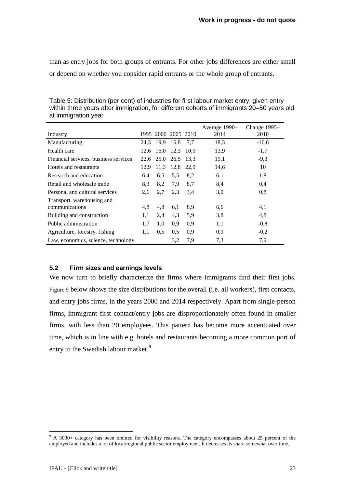than as entry jobs for both groups of entrants. For other jobs differences are either small or depend on whether you consider rapid entrants or the whole group of entrants.

|                                       |      |                     |           |      | Average 1990- | Change 1995- |
|---------------------------------------|------|---------------------|-----------|------|---------------|--------------|
| Industry                              |      | 1995 2000 2005 2010 |           |      | 2014          | 2010         |
| Manufacturing                         |      | 24,3 19,9 16,8      |           | 7.7  | 18,3          | $-16,6$      |
| Health care                           | 12,6 | 16,0                | 12.3      | 10.9 | 13,9          | $-1,7$       |
| Financial services, business services |      | 22,6 25,0           | 26,5 13,3 |      | 19,1          | $-9,3$       |
| Hotels and restaurants                | 12,9 | 11,3                | 12,8      | 22,9 | 14,6          | 10           |
| Research and education                | 6,4  | 6,5                 | 5.5       | 8,2  | 6,1           | 1,8          |
| Retail and wholesale trade            | 8,3  | 8,2                 | 7,9       | 8,7  | 8,4           | 0,4          |
| Personal and cultural services        | 2,6  | 2,7                 | 2,3       | 3,4  | 3,0           | 0,8          |
| Transport, warehousing and            |      |                     |           |      |               |              |
| communications                        | 4,8  | 4,8                 | 6,1       | 8,9  | 6,6           | 4,1          |
| Building and construction             | 1,1  | 2,4                 | 4,3       | 5,9  | 3.8           | 4,8          |
| Public administration                 | 1,7  | 1,0                 | 0.9       | 0.9  | 1,1           | $-0.8$       |
| Agriculture, forestry, fishing        | 1,1  | 0,5                 | 0,5       | 0,9  | 0,9           | $-0,2$       |
| Law, economics, science, technology   |      |                     | 3,2       | 7,9  | 7,3           | 7,9          |

<span id="page-22-1"></span>Table 5: Distribution (per cent) of industries for first labour market entry, given entry within three years after immigration, for different cohorts of immigrants 20–50 years old at immigration year

## <span id="page-22-0"></span>**5.2 Firm sizes and earnings levels**

We now turn to briefly characterize the firms where immigrants find their first jobs. Figure 9 below shows the size distributions for the overall (i.e. all workers), first contacts, and entry jobs firms, in the years 2000 and 2014 respectively. Apart from single-person firms, immigrant first contact/entry jobs are disproportionately often found in smaller firms, with less than 20 employees. This pattern has become more accentuated over time, which is in line with e.g. hotels and restaurants becoming a more common port of entry to the Swedish labour market.<sup>[9](#page-22-2)</sup>

<span id="page-22-2"></span><sup>&</sup>lt;sup>9</sup> A 3000+ category has been omitted for visibility reasons. The category encompasses about 25 percent of the employed and includes a lot of local/regional public sector employment. It decreases its share somewhat over time.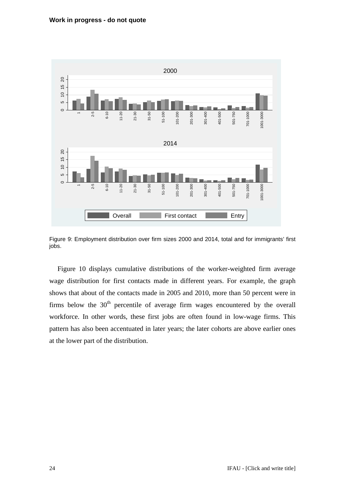

Figure 9: Employment distribution over firm sizes 2000 and 2014, total and for immigrants' first jobs.

[Figure 10](#page-24-2) displays cumulative distributions of the worker-weighted firm average wage distribution for first contacts made in different years. For example, the graph shows that about of the contacts made in 2005 and 2010, more than 50 percent were in firms below the  $30<sup>th</sup>$  percentile of average firm wages encountered by the overall workforce. In other words, these first jobs are often found in low-wage firms. This pattern has also been accentuated in later years; the later cohorts are above earlier ones at the lower part of the distribution.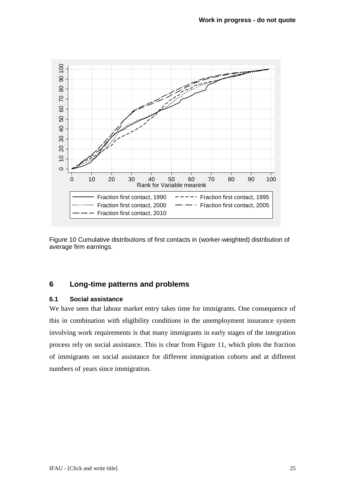

<span id="page-24-2"></span>

## <span id="page-24-0"></span>**6 Long-time patterns and problems**

## <span id="page-24-1"></span>**6.1 Social assistance**

We have seen that labour market entry takes time for immigrants. One consequence of this in combination with eligibility conditions in the unemployment insurance system involving work requirements is that many immigrants in early stages of the integration process rely on social assistance. This is clear from [Figure 11,](#page-25-1) which plots the fraction of immigrants on social assistance for different immigration cohorts and at different numbers of years since immigration.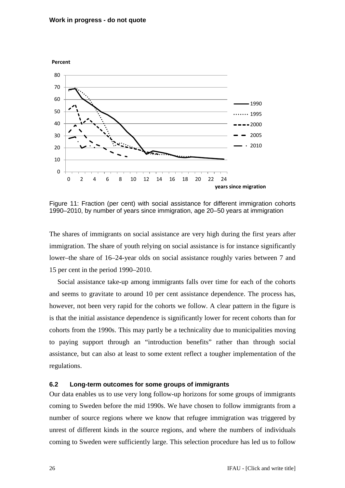#### **Work in progress - do not quote**



<span id="page-25-1"></span>Figure 11: Fraction (per cent) with social assistance for different immigration cohorts 1990–2010, by number of years since immigration, age 20–50 years at immigration

The shares of immigrants on social assistance are very high during the first years after immigration. The share of youth relying on social assistance is for instance significantly lower–the share of 16–24-year olds on social assistance roughly varies between 7 and 15 per cent in the period 1990–2010.

Social assistance take-up among immigrants falls over time for each of the cohorts and seems to gravitate to around 10 per cent assistance dependence. The process has, however, not been very rapid for the cohorts we follow. A clear pattern in the figure is is that the initial assistance dependence is significantly lower for recent cohorts than for cohorts from the 1990s. This may partly be a technicality due to municipalities moving to paying support through an "introduction benefits" rather than through social assistance, but can also at least to some extent reflect a tougher implementation of the regulations.

#### <span id="page-25-0"></span>**6.2 Long-term outcomes for some groups of immigrants**

Our data enables us to use very long follow-up horizons for some groups of immigrants coming to Sweden before the mid 1990s. We have chosen to follow immigrants from a number of source regions where we know that refugee immigration was triggered by unrest of different kinds in the source regions, and where the numbers of individuals coming to Sweden were sufficiently large. This selection procedure has led us to follow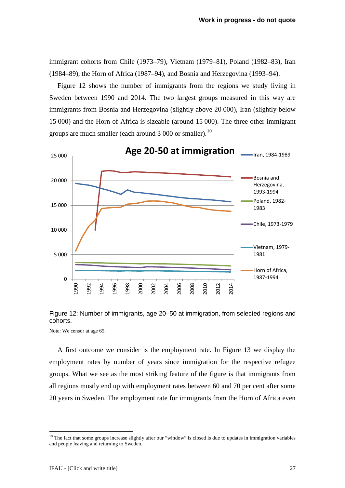immigrant cohorts from Chile (1973–79), Vietnam (1979–81), Poland (1982–83), Iran (1984–89), the Horn of Africa (1987–94), and Bosnia and Herzegovina (1993–94).

[Figure 12](#page-26-0) shows the number of immigrants from the regions we study living in Sweden between 1990 and 2014. The two largest groups measured in this way are immigrants from Bosnia and Herzegovina (slightly above 20 000), Iran (slightly below 15 000) and the Horn of Africa is sizeable (around 15 000). The three other immigrant groups are much smaller (each around  $3\,000$  or smaller).<sup>[10](#page-26-1)</sup>



<span id="page-26-0"></span>

Note: We censor at age 65.

A first outcome we consider is the employment rate. In [Figure 13](#page-27-0) we display the employment rates by number of years since immigration for the respective refugee groups. What we see as the most striking feature of the figure is that immigrants from all regions mostly end up with employment rates between 60 and 70 per cent after some 20 years in Sweden. The employment rate for immigrants from the Horn of Africa even

<span id="page-26-1"></span> $10$  The fact that some groups increase slightly after our "window" is closed is due to updates in immigration variables and people leaving and returning to Sweden.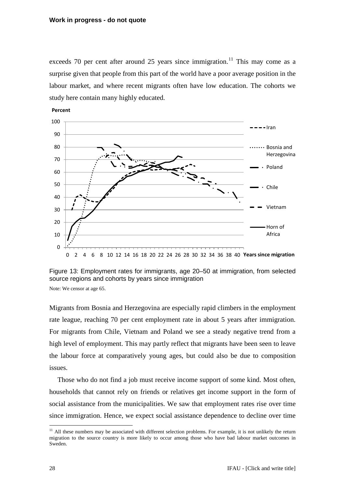exceeds 70 per cent after around 25 years since immigration.<sup>[11](#page-27-1)</sup> This may come as a surprise given that people from this part of the world have a poor average position in the labour market, and where recent migrants often have low education. The cohorts we study here contain many highly educated.



<span id="page-27-0"></span>Figure 13: Employment rates for immigrants, age 20–50 at immigration, from selected source regions and cohorts by years since immigration

Note: We censor at age 65.

Migrants from Bosnia and Herzegovina are especially rapid climbers in the employment rate league, reaching 70 per cent employment rate in about 5 years after immigration. For migrants from Chile, Vietnam and Poland we see a steady negative trend from a high level of employment. This may partly reflect that migrants have been seen to leave the labour force at comparatively young ages, but could also be due to composition issues.

Those who do not find a job must receive income support of some kind. Most often, households that cannot rely on friends or relatives get income support in the form of social assistance from the municipalities. We saw that employment rates rise over time since immigration. Hence, we expect social assistance dependence to decline over time

28 **IFAU** - [Click and write title]

<span id="page-27-1"></span> $11$  All these numbers may be associated with different selection problems. For example, it is not unlikely the return migration to the source country is more likely to occur among those who have bad labour market outcomes in Sweden.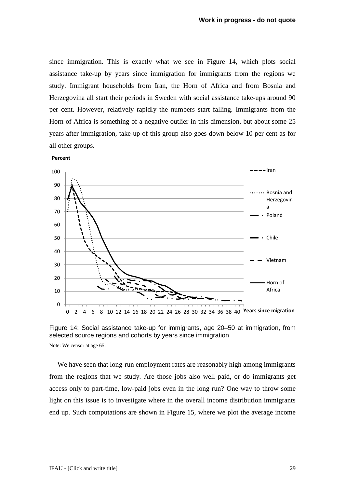since immigration. This is exactly what we see in [Figure 14,](#page-28-0) which plots social assistance take-up by years since immigration for immigrants from the regions we study. Immigrant households from Iran, the Horn of Africa and from Bosnia and Herzegovina all start their periods in Sweden with social assistance take-ups around 90 per cent. However, relatively rapidly the numbers start falling. Immigrants from the Horn of Africa is something of a negative outlier in this dimension, but about some 25 years after immigration, take-up of this group also goes down below 10 per cent as for all other groups.





<span id="page-28-0"></span>

We have seen that long-run employment rates are reasonably high among immigrants from the regions that we study. Are those jobs also well paid, or do immigrants get access only to part-time, low-paid jobs even in the long run? One way to throw some light on this issue is to investigate where in the overall income distribution immigrants end up. Such computations are shown in [Figure 15,](#page-29-0) where we plot the average income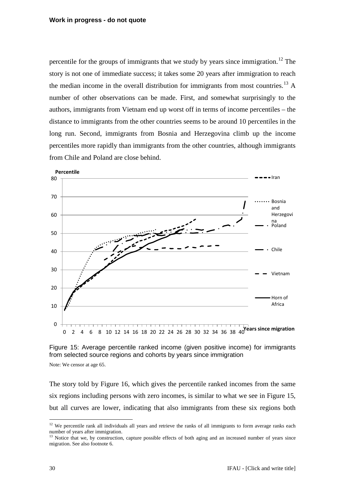percentile for the groups of immigrants that we study by years since immigration.<sup>[12](#page-29-1)</sup> The story is not one of immediate success; it takes some 20 years after immigration to reach the median income in the overall distribution for immigrants from most countries. [13](#page-29-2) A number of other observations can be made. First, and somewhat surprisingly to the authors, immigrants from Vietnam end up worst off in terms of income percentiles – the distance to immigrants from the other countries seems to be around 10 percentiles in the long run. Second, immigrants from Bosnia and Herzegovina climb up the income percentiles more rapidly than immigrants from the other countries, although immigrants from Chile and Poland are close behind.



<span id="page-29-0"></span>Figure 15: Average percentile ranked income (given positive income) for immigrants from selected source regions and cohorts by years since immigration

Note: We censor at age 65.

The story told by [Figure 16,](#page-30-1) which gives the percentile ranked incomes from the same six regions including persons with zero incomes, is similar to what we see in [Figure 15,](#page-29-0) but all curves are lower, indicating that also immigrants from these six regions both

<span id="page-29-1"></span> $12$  We percentile rank all individuals all years and retrieve the ranks of all immigrants to form average ranks each number of years after immigration.

<span id="page-29-2"></span><sup>&</sup>lt;sup>13</sup> Notice that we, by construction, capture possible effects of both aging and an increased number of years since migration. See also footnote [6.](#page-16-1)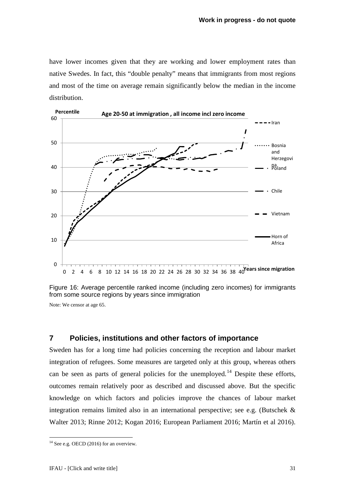have lower incomes given that they are working and lower employment rates than native Swedes. In fact, this "double penalty" means that immigrants from most regions and most of the time on average remain significantly below the median in the income distribution.



<span id="page-30-1"></span>Figure 16: Average percentile ranked income (including zero incomes) for immigrants from some source regions by years since immigration

Note: We censor at age 65.

## <span id="page-30-0"></span>**7 Policies, institutions and other factors of importance**

Sweden has for a long time had policies concerning the reception and labour market integration of refugees. Some measures are targeted only at this group, whereas others can be seen as parts of general policies for the unemployed.<sup>[14](#page-30-2)</sup> Despite these efforts, outcomes remain relatively poor as described and discussed above. But the specific knowledge on which factors and policies improve the chances of labour market integration remains limited also in an international perspective; see e.g. (Butschek & Walter 2013; Rinne 2012; Kogan 2016; European Parliament 2016; Martín et al 2016).

<span id="page-30-2"></span> $14$  See e.g. OECD (2016) for an overview.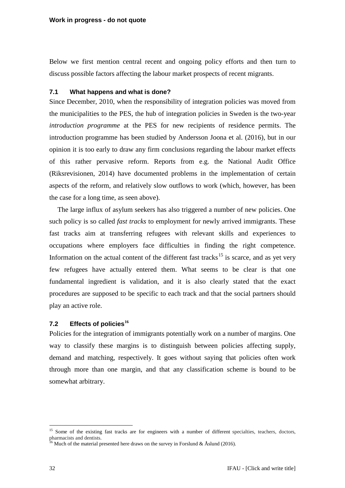Below we first mention central recent and ongoing policy efforts and then turn to discuss possible factors affecting the labour market prospects of recent migrants.

### <span id="page-31-0"></span>**7.1 What happens and what is done?**

Since December, 2010, when the responsibility of integration policies was moved from the municipalities to the PES, the hub of integration policies in Sweden is the two-year *introduction programme* at the PES for new recipients of residence permits. The introduction programme has been studied by Andersson Joona et al. (2016), but in our opinion it is too early to draw any firm conclusions regarding the labour market effects of this rather pervasive reform. Reports from e.g. the National Audit Office (Riksrevisionen, 2014) have documented problems in the implementation of certain aspects of the reform, and relatively slow outflows to work (which, however, has been the case for a long time, as seen above).

The large influx of asylum seekers has also triggered a number of new policies. One such policy is so called *fast tracks* to employment for newly arrived immigrants. These fast tracks aim at transferring refugees with relevant skills and experiences to occupations where employers face difficulties in finding the right competence. Information on the actual content of the different fast tracks<sup>[15](#page-31-2)</sup> is scarce, and as yet very few refugees have actually entered them. What seems to be clear is that one fundamental ingredient is validation, and it is also clearly stated that the exact procedures are supposed to be specific to each track and that the social partners should play an active role.

## <span id="page-31-1"></span>**7.2 Effects of policies[16](#page-31-3)**

Policies for the integration of immigrants potentially work on a number of margins. One way to classify these margins is to distinguish between policies affecting supply, demand and matching, respectively. It goes without saying that policies often work through more than one margin, and that any classification scheme is bound to be somewhat arbitrary.

<span id="page-31-2"></span><sup>&</sup>lt;sup>15</sup> Some of the existing fast tracks are for engineers with a number of different specialties, teachers, doctors, pharmacists and dentists.

<span id="page-31-3"></span><sup>&</sup>lt;sup>16</sup> Much of the material presented here draws on the survey in Forslund & Åslund (2016).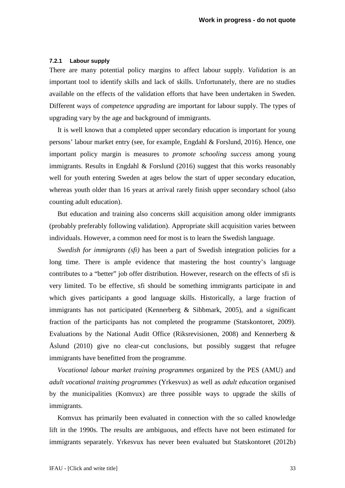#### **7.2.1 Labour supply**

There are many potential policy margins to affect labour supply. *Validation* is an important tool to identify skills and lack of skills. Unfortunately, there are no studies available on the effects of the validation efforts that have been undertaken in Sweden. Different ways of *competence upgrading* are important for labour supply. The types of upgrading vary by the age and background of immigrants.

It is well known that a completed upper secondary education is important for young persons' labour market entry (see, for example, Engdahl & Forslund, 2016). Hence, one important policy margin is measures to *promote schooling success* among young immigrants. Results in Engdahl  $\&$  Forslund (2016) suggest that this works reasonably well for youth entering Sweden at ages below the start of upper secondary education, whereas youth older than 16 years at arrival rarely finish upper secondary school (also counting adult education).

But education and training also concerns skill acquisition among older immigrants (probably preferably following validation). Appropriate skill acquisition varies between individuals. However, a common need for most is to learn the Swedish language.

*Swedish for immigrants (sfi)* has been a part of Swedish integration policies for a long time. There is ample evidence that mastering the host country's language contributes to a "better" job offer distribution. However, research on the effects of sfi is very limited. To be effective, sfi should be something immigrants participate in and which gives participants a good language skills. Historically, a large fraction of immigrants has not participated (Kennerberg & Sibbmark, 2005), and a significant fraction of the participants has not completed the programme (Statskontoret, 2009). Evaluations by the National Audit Office (Riksrevisionen, 2008) and Kennerberg & Åslund (2010) give no clear-cut conclusions, but possibly suggest that refugee immigrants have benefitted from the programme.

*Vocational labour market training programmes* organized by the PES (AMU) and *adult vocational training programmes* (Yrkesvux) as well as *adult education* organised by the municipalities (Komvux) are three possible ways to upgrade the skills of immigrants.

Komvux has primarily been evaluated in connection with the so called knowledge lift in the 1990s. The results are ambiguous, and effects have not been estimated for immigrants separately. Yrkesvux has never been evaluated but Statskontoret (2012b)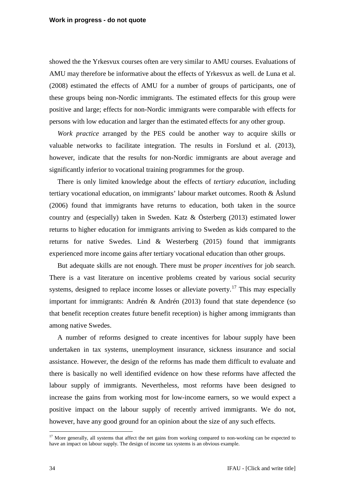showed the the Yrkesvux courses often are very similar to AMU courses. Evaluations of AMU may therefore be informative about the effects of Yrkesvux as well. de Luna et al. (2008) estimated the effects of AMU for a number of groups of participants, one of these groups being non-Nordic immigrants. The estimated effects for this group were positive and large; effects for non-Nordic immigrants were comparable with effects for persons with low education and larger than the estimated effects for any other group.

*Work practice* arranged by the PES could be another way to acquire skills or valuable networks to facilitate integration. The results in Forslund et al. (2013), however, indicate that the results for non-Nordic immigrants are about average and significantly inferior to vocational training programmes for the group.

There is only limited knowledge about the effects of *tertiary education*, including tertiary vocational education, on immigrants' labour market outcomes. Rooth  $\&$  Åslund (2006) found that immigrants have returns to education, both taken in the source country and (especially) taken in Sweden. Katz & Österberg (2013) estimated lower returns to higher education for immigrants arriving to Sweden as kids compared to the returns for native Swedes. Lind & Westerberg (2015) found that immigrants experienced more income gains after tertiary vocational education than other groups.

But adequate skills are not enough. There must be *proper incentives* for job search. There is a vast literature on incentive problems created by various social security systems, designed to replace income losses or alleviate poverty.<sup>[17](#page-33-0)</sup> This may especially important for immigrants: Andrén & Andrén (2013) found that state dependence (so that benefit reception creates future benefit reception) is higher among immigrants than among native Swedes.

A number of reforms designed to create incentives for labour supply have been undertaken in tax systems, unemployment insurance, sickness insurance and social assistance. However, the design of the reforms has made them difficult to evaluate and there is basically no well identified evidence on how these reforms have affected the labour supply of immigrants. Nevertheless, most reforms have been designed to increase the gains from working most for low-income earners, so we would expect a positive impact on the labour supply of recently arrived immigrants. We do not, however, have any good ground for an opinion about the size of any such effects.

<span id="page-33-0"></span><sup>&</sup>lt;sup>17</sup> More generally, all systems that affect the net gains from working compared to non-working can be expected to have an impact on labour supply. The design of income tax systems is an obvious example.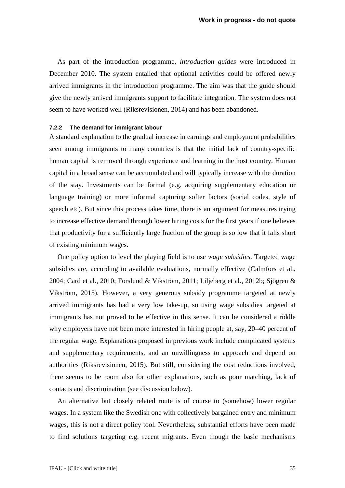As part of the introduction programme, *introduction guides* were introduced in December 2010. The system entailed that optional activities could be offered newly arrived immigrants in the introduction programme. The aim was that the guide should give the newly arrived immigrants support to facilitate integration. The system does not seem to have worked well (Riksrevisionen, 2014) and has been abandoned.

#### **7.2.2 The demand for immigrant labour**

A standard explanation to the gradual increase in earnings and employment probabilities seen among immigrants to many countries is that the initial lack of country-specific human capital is removed through experience and learning in the host country. Human capital in a broad sense can be accumulated and will typically increase with the duration of the stay. Investments can be formal (e.g. acquiring supplementary education or language training) or more informal capturing softer factors (social codes, style of speech etc). But since this process takes time, there is an argument for measures trying to increase effective demand through lower hiring costs for the first years if one believes that productivity for a sufficiently large fraction of the group is so low that it falls short of existing minimum wages.

One policy option to level the playing field is to use *wage subsidies*. Targeted wage subsidies are, according to available evaluations, normally effective (Calmfors et al., 2004; Card et al., 2010; Forslund & Vikström, 2011; Liljeberg et al., 2012b; Sjögren & Vikström, 2015). However, a very generous subsidy programme targeted at newly arrived immigrants has had a very low take-up, so using wage subsidies targeted at immigrants has not proved to be effective in this sense. It can be considered a riddle why employers have not been more interested in hiring people at, say, 20–40 percent of the regular wage. Explanations proposed in previous work include complicated systems and supplementary requirements, and an unwillingness to approach and depend on authorities (Riksrevisionen, 2015). But still, considering the cost reductions involved, there seems to be room also for other explanations, such as poor matching, lack of contacts and discrimination (see discussion below).

An alternative but closely related route is of course to (somehow) lower regular wages. In a system like the Swedish one with collectively bargained entry and minimum wages, this is not a direct policy tool. Nevertheless, substantial efforts have been made to find solutions targeting e.g. recent migrants. Even though the basic mechanisms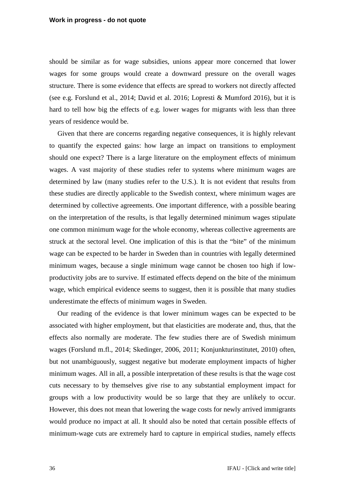should be similar as for wage subsidies, unions appear more concerned that lower wages for some groups would create a downward pressure on the overall wages structure. There is some evidence that effects are spread to workers not directly affected (see e.g. Forslund et al., 2014; David et al. 2016; Lopresti & Mumford 2016), but it is hard to tell how big the effects of e.g. lower wages for migrants with less than three years of residence would be.

Given that there are concerns regarding negative consequences, it is highly relevant to quantify the expected gains: how large an impact on transitions to employment should one expect? There is a large literature on the employment effects of minimum wages. A vast majority of these studies refer to systems where minimum wages are determined by law (many studies refer to the U.S.). It is not evident that results from these studies are directly applicable to the Swedish context, where minimum wages are determined by collective agreements. One important difference, with a possible bearing on the interpretation of the results, is that legally determined minimum wages stipulate one common minimum wage for the whole economy, whereas collective agreements are struck at the sectoral level. One implication of this is that the "bite" of the minimum wage can be expected to be harder in Sweden than in countries with legally determined minimum wages, because a single minimum wage cannot be chosen too high if lowproductivity jobs are to survive. If estimated effects depend on the bite of the minimum wage, which empirical evidence seems to suggest, then it is possible that many studies underestimate the effects of minimum wages in Sweden.

Our reading of the evidence is that lower minimum wages can be expected to be associated with higher employment, but that elasticities are moderate and, thus, that the effects also normally are moderate. The few studies there are of Swedish minimum wages (Forslund m.fl., 2014; Skedinger, 2006, 2011; Konjunkturinstitutet, 2010) often, but not unambiguously, suggest negative but moderate employment impacts of higher minimum wages. All in all, a possible interpretation of these results is that the wage cost cuts necessary to by themselves give rise to any substantial employment impact for groups with a low productivity would be so large that they are unlikely to occur. However, this does not mean that lowering the wage costs for newly arrived immigrants would produce no impact at all. It should also be noted that certain possible effects of minimum-wage cuts are extremely hard to capture in empirical studies, namely effects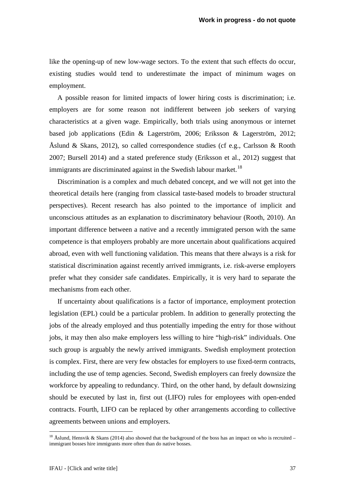like the opening-up of new low-wage sectors. To the extent that such effects do occur, existing studies would tend to underestimate the impact of minimum wages on employment.

A possible reason for limited impacts of lower hiring costs is discrimination; i.e. employers are for some reason not indifferent between job seekers of varying characteristics at a given wage. Empirically, both trials using anonymous or internet based job applications (Edin & Lagerström, 2006; Eriksson & Lagerström, 2012; Åslund & Skans, 2012), so called correspondence studies (cf e.g., Carlsson & Rooth 2007; Bursell 2014) and a stated preference study (Eriksson et al., 2012) suggest that immigrants are discriminated against in the Swedish labour market.<sup>[18](#page-36-0)</sup>

Discrimination is a complex and much debated concept, and we will not get into the theoretical details here (ranging from classical taste-based models to broader structural perspectives). Recent research has also pointed to the importance of implicit and unconscious attitudes as an explanation to discriminatory behaviour (Rooth, 2010). An important difference between a native and a recently immigrated person with the same competence is that employers probably are more uncertain about qualifications acquired abroad, even with well functioning validation. This means that there always is a risk for statistical discrimination against recently arrived immigrants, i.e. risk-averse employers prefer what they consider safe candidates. Empirically, it is very hard to separate the mechanisms from each other.

If uncertainty about qualifications is a factor of importance, employment protection legislation (EPL) could be a particular problem. In addition to generally protecting the jobs of the already employed and thus potentially impeding the entry for those without jobs, it may then also make employers less willing to hire "high-risk" individuals. One such group is arguably the newly arrived immigrants. Swedish employment protection is complex. First, there are very few obstacles for employers to use fixed-term contracts, including the use of temp agencies. Second, Swedish employers can freely downsize the workforce by appealing to redundancy. Third, on the other hand, by default downsizing should be executed by last in, first out (LIFO) rules for employees with open-ended contracts. Fourth, LIFO can be replaced by other arrangements according to collective agreements between unions and employers.

<span id="page-36-0"></span><sup>&</sup>lt;sup>18</sup> Åslund, Hensvik & Skans (2014) also showed that the background of the boss has an impact on who is recruited – immigrant bosses hire immigrants more often than do native bosses.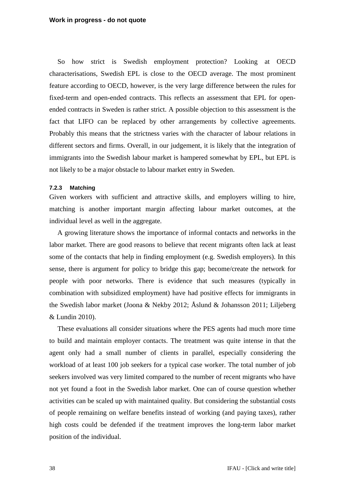So how strict is Swedish employment protection? Looking at OECD characterisations, Swedish EPL is close to the OECD average. The most prominent feature according to OECD, however, is the very large difference between the rules for fixed-term and open-ended contracts. This reflects an assessment that EPL for openended contracts in Sweden is rather strict. A possible objection to this assessment is the fact that LIFO can be replaced by other arrangements by collective agreements. Probably this means that the strictness varies with the character of labour relations in different sectors and firms. Overall, in our judgement, it is likely that the integration of immigrants into the Swedish labour market is hampered somewhat by EPL, but EPL is not likely to be a major obstacle to labour market entry in Sweden.

### **7.2.3 Matching**

Given workers with sufficient and attractive skills, and employers willing to hire, matching is another important margin affecting labour market outcomes, at the individual level as well in the aggregate.

A growing literature shows the importance of informal contacts and networks in the labor market. There are good reasons to believe that recent migrants often lack at least some of the contacts that help in finding employment (e.g. Swedish employers). In this sense, there is argument for policy to bridge this gap; become/create the network for people with poor networks. There is evidence that such measures (typically in combination with subsidized employment) have had positive effects for immigrants in the Swedish labor market (Joona & Nekby 2012; Åslund & Johansson 2011; Liljeberg & Lundin 2010).

These evaluations all consider situations where the PES agents had much more time to build and maintain employer contacts. The treatment was quite intense in that the agent only had a small number of clients in parallel, especially considering the workload of at least 100 job seekers for a typical case worker. The total number of job seekers involved was very limited compared to the number of recent migrants who have not yet found a foot in the Swedish labor market. One can of course question whether activities can be scaled up with maintained quality. But considering the substantial costs of people remaining on welfare benefits instead of working (and paying taxes), rather high costs could be defended if the treatment improves the long-term labor market position of the individual.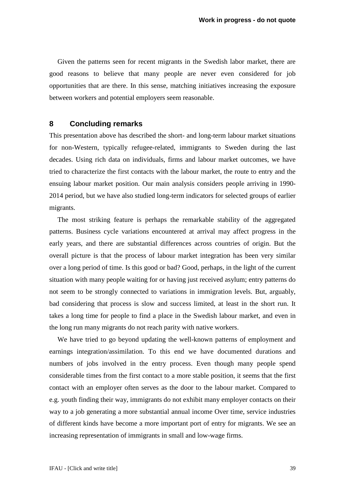Given the patterns seen for recent migrants in the Swedish labor market, there are good reasons to believe that many people are never even considered for job opportunities that are there. In this sense, matching initiatives increasing the exposure between workers and potential employers seem reasonable.

## <span id="page-38-0"></span>**8 Concluding remarks**

This presentation above has described the short- and long-term labour market situations for non-Western, typically refugee-related, immigrants to Sweden during the last decades. Using rich data on individuals, firms and labour market outcomes, we have tried to characterize the first contacts with the labour market, the route to entry and the ensuing labour market position. Our main analysis considers people arriving in 1990- 2014 period, but we have also studied long-term indicators for selected groups of earlier migrants.

The most striking feature is perhaps the remarkable stability of the aggregated patterns. Business cycle variations encountered at arrival may affect progress in the early years, and there are substantial differences across countries of origin. But the overall picture is that the process of labour market integration has been very similar over a long period of time. Is this good or bad? Good, perhaps, in the light of the current situation with many people waiting for or having just received asylum; entry patterns do not seem to be strongly connected to variations in immigration levels. But, arguably, bad considering that process is slow and success limited, at least in the short run. It takes a long time for people to find a place in the Swedish labour market, and even in the long run many migrants do not reach parity with native workers.

We have tried to go beyond updating the well-known patterns of employment and earnings integration/assimilation. To this end we have documented durations and numbers of jobs involved in the entry process. Even though many people spend considerable times from the first contact to a more stable position, it seems that the first contact with an employer often serves as the door to the labour market. Compared to e.g. youth finding their way, immigrants do not exhibit many employer contacts on their way to a job generating a more substantial annual income Over time, service industries of different kinds have become a more important port of entry for migrants. We see an increasing representation of immigrants in small and low-wage firms.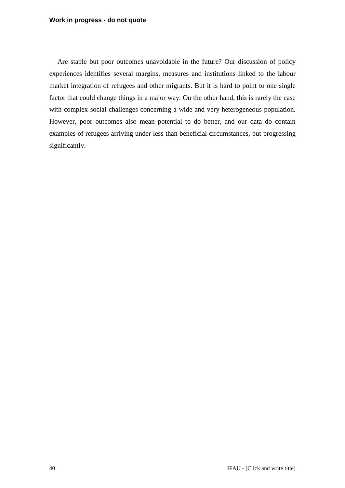#### **Work in progress - do not quote**

Are stable but poor outcomes unavoidable in the future? Our discussion of policy experiences identifies several margins, measures and institutions linked to the labour market integration of refugees and other migrants. But it is hard to point to one single factor that could change things in a major way. On the other hand, this is rarely the case with complex social challenges concerning a wide and very heterogeneous population. However, poor outcomes also mean potential to do better, and our data do contain examples of refugees arriving under less than beneficial circumstances, but progressing significantly.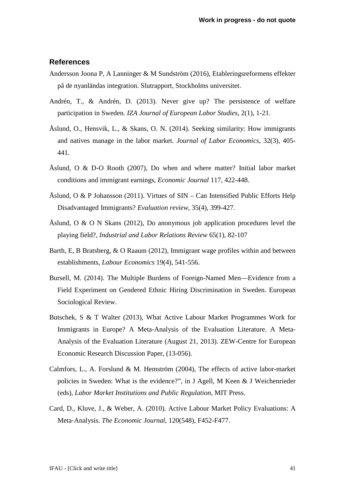## **References**

- Andersson Joona P, A Lanninger & M Sundström (2016), Etableringsreformens effekter på de nyanländas integration. Slutrapport, Stockholms universitet.
- Andrén, T., & Andrén, D. (2013). Never give up? The persistence of welfare participation in Sweden. *IZA Journal of European Labor Studies*, 2(1), 1-21.
- Åslund, O., Hensvik, L., & Skans, O. N. (2014). Seeking similarity: How immigrants and natives manage in the labor market. *Journal of Labor Economics*, 32(3), 405- 441.
- Åslund, O & D-O Rooth (2007), Do when and where matter? Initial labor market conditions and immigrant earnings, *Economic Journal* 117, 422-448.
- Åslund, O & P Johansson (2011). Virtues of  $\text{SIN}$  Can Intensified Public Efforts Help Disadvantaged Immigrants? *Evaluation review*, 35(4), 399-427.
- Åslund, O & O N Skans (2012), Do anonymous job application procedures level the playing field?, *Industrial and Labor Relations Review* 65(1), 82-107
- Barth, E, B Bratsberg, & O Raaum (2012), Immigrant wage profiles within and between establishments, *Labour Economics* 19(4), 541-556.
- Bursell, M. (2014). The Multiple Burdens of Foreign-Named Men—Evidence from a Field Experiment on Gendered Ethnic Hiring Discrimination in Sweden. European Sociological Review.
- Butschek, S & T Walter (2013), What Active Labour Market Programmes Work for Immigrants in Europe? A Meta-Analysis of the Evaluation Literature. A Meta-Analysis of the Evaluation Literature (August 21, 2013). ZEW-Centre for European Economic Research Discussion Paper, (13-056).
- Calmfors, L., A. Forslund & M. Hemström (2004), The effects of active labor-market policies in Sweden: What is the evidence?", in J Agell, M Keen & J Weichenrieder (eds), *Labor Market Institutions and Public Regulation*, MIT Press.
- Card, D., Kluve, J., & Weber, A. (2010). Active Labour Market Policy Evaluations: A Meta‐Analysis. *The Economic Journal*, 120(548), F452-F477.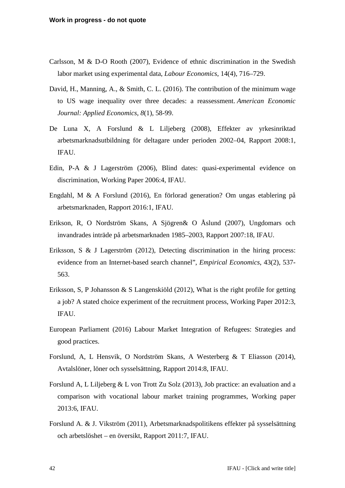- Carlsson, M & D-O Rooth (2007), Evidence of ethnic discrimination in the Swedish labor market using experimental data, *Labour Economics*, 14(4), 716–729.
- David, H., Manning, A., & Smith, C. L. (2016). The contribution of the minimum wage to US wage inequality over three decades: a reassessment. *American Economic Journal: Applied Economics*, *8*(1), 58-99.
- De Luna X, A Forslund & L Liljeberg (2008), Effekter av yrkesinriktad arbetsmarknadsutbildning för deltagare under perioden 2002–04, Rapport 2008:1, IFAU.
- Edin, P-A & J Lagerström (2006), Blind dates: quasi-experimental evidence on discrimination, Working Paper 2006:4, IFAU.
- Engdahl, M & A Forslund (2016), En förlorad generation? Om ungas etablering på arbetsmarknaden, Rapport 2016:1, IFAU.
- Erikson, R, O Nordström Skans, A Sjögren& O Åslund (2007), Ungdomars och invandrades inträde på arbetsmarknaden 1985–2003, Rapport 2007:18, IFAU.
- Eriksson, S & J Lagerström (2012), Detecting discrimination in the hiring process: evidence from an Internet-based search channel", *Empirical Economics*, 43(2), 537- 563.
- Eriksson, S, P Johansson & S Langenskiöld (2012), What is the right profile for getting a job? A stated choice experiment of the recruitment process, Working Paper 2012:3, IFAU.
- European Parliament (2016) Labour Market Integration of Refugees: Strategies and good practices.
- Forslund, A, L Hensvik, O Nordström Skans, A Westerberg & T Eliasson (2014), Avtalslöner, löner och sysselsättning, Rapport 2014:8, IFAU.
- Forslund A, L Liljeberg & L von Trott Zu Solz (2013), Job practice: an evaluation and a comparison with vocational labour market training programmes, Working paper 2013:6, IFAU.
- Forslund A. & J. Vikström (2011), Arbetsmarknadspolitikens effekter på sysselsättning och arbetslöshet – en översikt, Rapport 2011:7, IFAU.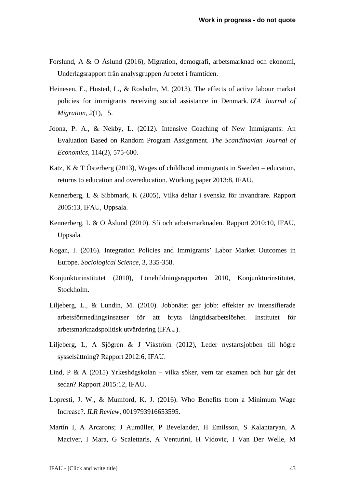- Forslund, A & O Åslund (2016), Migration, demografi, arbetsmarknad och ekonomi, Underlagsrapport från analysgruppen Arbetet i framtiden.
- Heinesen, E., Husted, L., & Rosholm, M. (2013). The effects of active labour market policies for immigrants receiving social assistance in Denmark. *IZA Journal of Migration*, *2*(1), 15.
- Joona, P. A., & Nekby, L. (2012). Intensive Coaching of New Immigrants: An Evaluation Based on Random Program Assignment. *The Scandinavian Journal of Economics*, 114(2), 575-600.
- Katz, K & T Österberg (2013), Wages of childhood immigrants in Sweden education, returns to education and overeducation. Working paper 2013:8, IFAU.
- Kennerberg, L & Sibbmark, K (2005), Vilka deltar i svenska för invandrare. Rapport 2005:13, IFAU, Uppsala.
- Kennerberg, L & O Åslund (2010). Sfi och arbetsmarknaden. Rapport 2010:10, IFAU, Uppsala.
- Kogan, I. (2016). Integration Policies and Immigrants' Labor Market Outcomes in Europe. *Sociological Science*, 3, 335-358.
- Konjunkturinstitutet (2010), Lönebildningsrapporten 2010, Konjunkturinstitutet, Stockholm.
- Liljeberg, L., & Lundin, M. (2010). Jobbnätet ger jobb: effekter av intensifierade arbetsförmedlingsinsatser för att bryta långtidsarbetslöshet. Institutet för arbetsmarknadspolitisk utvärdering (IFAU).
- Liljeberg, L, A Sjögren & J Vikström (2012), Leder nystartsjobben till högre sysselsättning? Rapport 2012:6, IFAU.
- Lind, P & A (2015) Yrkeshögskolan vilka söker, vem tar examen och hur går det sedan? Rapport 2015:12, IFAU.
- Lopresti, J. W., & Mumford, K. J. (2016). Who Benefits from a Minimum Wage Increase?. *ILR Review*, 0019793916653595.
- Martín I, A Arcarons; J Aumüller, P Bevelander, H Emilsson, S Kalantaryan, A Maciver, I Mara, G Scalettaris, A Venturini, H Vidovic, I Van Der Welle, M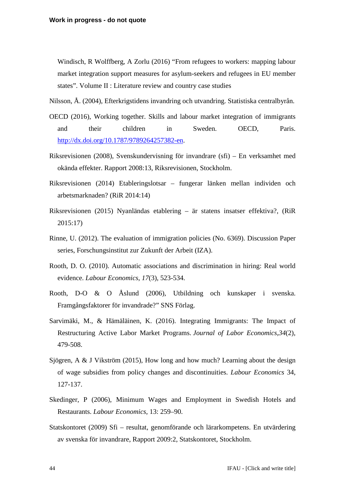Windisch, R Wolffberg, A Zorlu (2016) "From refugees to workers: mapping labour market integration support measures for asylum-seekers and refugees in EU member states". Volume II : Literature review and country case studies

Nilsson, Å. (2004), Efterkrigstidens invandring och utvandring. Statistiska centralbyrån.

- OECD (2016), Working together. Skills and labour market integration of immigrants and their children in Sweden. OECD, Paris. [http://dx.doi.org/10.1787/9789264257382-en.](http://dx.doi.org/10.1787/9789264257382-en)
- Riksrevisionen (2008), Svenskundervisning för invandrare (sfi) En verksamhet med okända effekter. Rapport 2008:13, Riksrevisionen, Stockholm.
- Riksrevisionen (2014) Etableringslotsar fungerar länken mellan individen och arbetsmarknaden? (RiR 2014:14)
- Riksrevisionen (2015) Nyanländas etablering är statens insatser effektiva?, (RiR 2015:17)
- Rinne, U. (2012). The evaluation of immigration policies (No. 6369). Discussion Paper series, Forschungsinstitut zur Zukunft der Arbeit (IZA).
- Rooth, D. O. (2010). Automatic associations and discrimination in hiring: Real world evidence. *Labour Economics*, *17*(3), 523-534.
- Rooth, D-O & O Åslund (2006), Utbildning och kunskaper i svenska. Framgångsfaktorer för invandrade?" SNS Förlag.
- Sarvimäki, M., & Hämäläinen, K. (2016). Integrating Immigrants: The Impact of Restructuring Active Labor Market Programs. *Journal of Labor Economics*,*34*(2), 479-508.
- Sjögren, A & J Vikström (2015), How long and how much? Learning about the design of wage subsidies from policy changes and discontinuities. *Labour Economics* 34, 127-137.
- Skedinger, P (2006), Minimum Wages and Employment in Swedish Hotels and Restaurants. *Labour Economics*, 13: 259–90.
- Statskontoret (2009) Sfi resultat, genomförande och lärarkompetens. En utvärdering av svenska för invandrare, Rapport 2009:2, Statskontoret, Stockholm.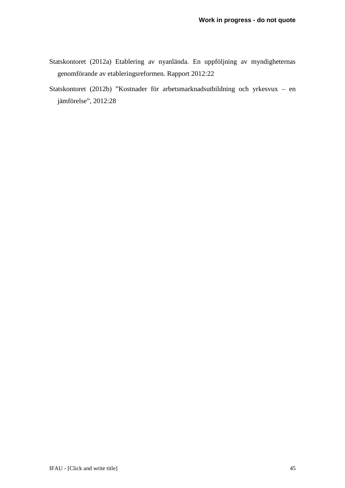- Statskontoret (2012a) Etablering av nyanlända. En uppföljning av myndigheternas genomförande av etableringsreformen*.* Rapport 2012:22
- Statskontoret (2012b) "Kostnader för arbetsmarknadsutbildning och yrkesvux en jämförelse", 2012:28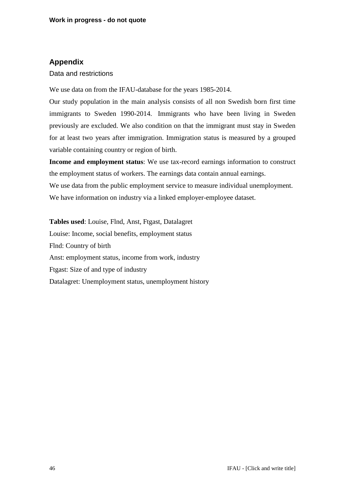# **Appendix**

## Data and restrictions

We use data on from the IFAU-database for the years 1985-2014.

Our study population in the main analysis consists of all non Swedish born first time immigrants to Sweden 1990-2014. Immigrants who have been living in Sweden previously are excluded. We also condition on that the immigrant must stay in Sweden for at least two years after immigration. Immigration status is measured by a grouped variable containing country or region of birth.

**Income and employment status**: We use tax-record earnings information to construct the employment status of workers. The earnings data contain annual earnings. We use data from the public employment service to measure individual unemployment. We have information on industry via a linked employer-employee dataset.

**Tables used**: Louise, Flnd, Anst, Ftgast, Datalagret Louise: Income, social benefits, employment status Flnd: Country of birth Anst: employment status, income from work, industry Ftgast: Size of and type of industry Datalagret: Unemployment status, unemployment history